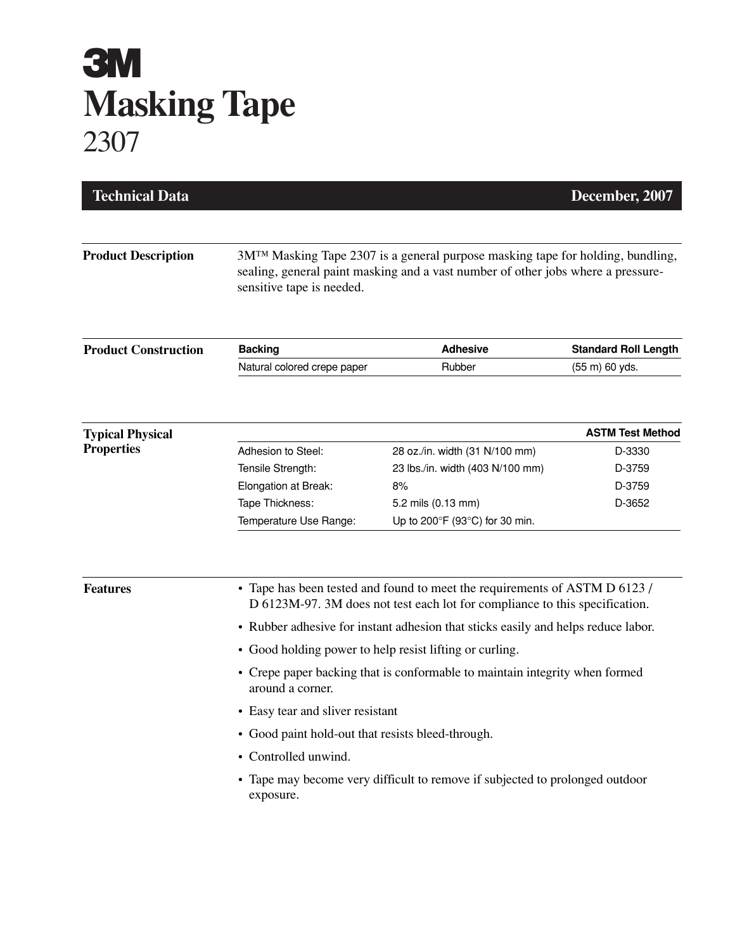## **3M Masking Tape** 2307

| <b>Technical Data</b>       |                                                                                                                                                                                                                                                                                                                                                                                                                                                                                                                                                                                                                            |                                                    | December, 2007              |
|-----------------------------|----------------------------------------------------------------------------------------------------------------------------------------------------------------------------------------------------------------------------------------------------------------------------------------------------------------------------------------------------------------------------------------------------------------------------------------------------------------------------------------------------------------------------------------------------------------------------------------------------------------------------|----------------------------------------------------|-----------------------------|
| <b>Product Description</b>  | 3M <sup>™</sup> Masking Tape 2307 is a general purpose masking tape for holding, bundling,<br>sealing, general paint masking and a vast number of other jobs where a pressure-<br>sensitive tape is needed.                                                                                                                                                                                                                                                                                                                                                                                                                |                                                    |                             |
| <b>Product Construction</b> | <b>Backing</b>                                                                                                                                                                                                                                                                                                                                                                                                                                                                                                                                                                                                             | <b>Adhesive</b>                                    | <b>Standard Roll Length</b> |
|                             | Natural colored crepe paper                                                                                                                                                                                                                                                                                                                                                                                                                                                                                                                                                                                                | Rubber                                             | (55 m) 60 yds.              |
| <b>Typical Physical</b>     |                                                                                                                                                                                                                                                                                                                                                                                                                                                                                                                                                                                                                            |                                                    | <b>ASTM Test Method</b>     |
| <b>Properties</b>           | Adhesion to Steel:                                                                                                                                                                                                                                                                                                                                                                                                                                                                                                                                                                                                         | 28 oz./in. width (31 N/100 mm)                     | D-3330                      |
|                             | Tensile Strength:                                                                                                                                                                                                                                                                                                                                                                                                                                                                                                                                                                                                          | 23 lbs./in. width (403 N/100 mm)                   | D-3759                      |
|                             | Elongation at Break:                                                                                                                                                                                                                                                                                                                                                                                                                                                                                                                                                                                                       | 8%                                                 | D-3759                      |
|                             | Tape Thickness:                                                                                                                                                                                                                                                                                                                                                                                                                                                                                                                                                                                                            | 5.2 mils (0.13 mm)                                 | D-3652                      |
|                             | Temperature Use Range:                                                                                                                                                                                                                                                                                                                                                                                                                                                                                                                                                                                                     | Up to 200 $\degree$ F (93 $\degree$ C) for 30 min. |                             |
| <b>Features</b>             | • Tape has been tested and found to meet the requirements of ASTM D 6123 /<br>D 6123M-97. 3M does not test each lot for compliance to this specification.<br>• Rubber adhesive for instant adhesion that sticks easily and helps reduce labor.<br>• Good holding power to help resist lifting or curling.<br>• Crepe paper backing that is conformable to maintain integrity when formed<br>around a corner.<br>• Easy tear and sliver resistant<br>• Good paint hold-out that resists bleed-through.<br>• Controlled unwind.<br>• Tape may become very difficult to remove if subjected to prolonged outdoor<br>exposure. |                                                    |                             |